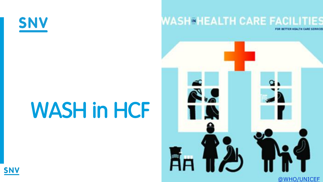

## **WASH®HEALTH CARE FACILITIES**

# WASH in HCF



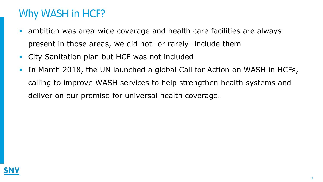### Why WASH in HCF?

- ambition was area-wide coverage and health care facilities are always present in those areas, we did not -or rarely- include them
- City Sanitation plan but HCF was not included
- In March 2018, the UN launched a global Call for Action on WASH in HCFs, calling to improve WASH services to help strengthen health systems and deliver on our promise for universal health coverage.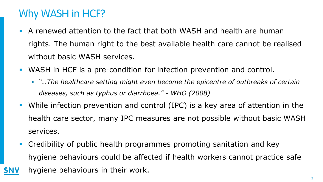## Why WASH in HCF?

- A renewed attention to the fact that both WASH and health are human rights. The human right to the best available health care cannot be realised without basic WASH services.
- WASH in HCF is a pre-condition for infection prevention and control.
	- **•** "*…The healthcare setting might even become the epicentre of outbreaks of certain diseases, such as typhus or diarrhoea." - WHO (2008)*
- While infection prevention and control (IPC) is a key area of attention in the health care sector, many IPC measures are not possible without basic WASH services.
- Credibility of public health programmes promoting sanitation and key hygiene behaviours could be affected if health workers cannot practice safe hygiene behaviours in their work.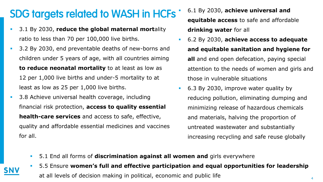## SDG targets related to WASH in HCFs

- 3.1 By 2030, **reduce the global maternal mort**ality ratio to less than 70 per 100,000 live births.
- **3.2 By 2030, end preventable deaths of new-borns and** children under 5 years of age, with all countries aiming **to reduce neonatal mortality** to at least as low as 12 per 1,000 live births and under-5 mortality to at least as low as 25 per 1,000 live births.
- **3.8 Achieve universal health coverage, including** financial risk protection, **access to quality essential health-care services** and access to safe, effective, quality and affordable essential medicines and vaccines for all.

 6.1 By 2030, **achieve universal and equitable access** to safe and affordable **drinking water** for all

- 6.2 By 2030, **achieve access to adequate and equitable sanitation and hygiene for all** and end open defecation, paying special attention to the needs of women and girls and those in vulnerable situations
- 6.3 By 2030, improve water quality by reducing pollution, eliminating dumping and minimizing release of hazardous chemicals and materials, halving the proportion of untreated wastewater and substantially increasing recycling and safe reuse globally
- 5.1 End all forms of **discrimination against all women and** girls everywhere
- 5.5 Ensure **women's full and effective participation and equal opportunities for leadership**  at all levels of decision making in political, economic and public life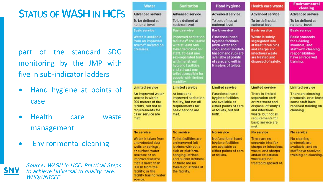#### STATUS OF WASH IN HCFS

part of the standard SDG monitoring by the JMP with five in sub -indicator ladders

- Hand hygiene at points of case
- Health care waste management
- Environmental cleaning



*Source: WASH in HCF: Practical Steps to achieve Universal to quality care. WHO/UNICEF*

#### **Water**

**Advanced service** To be defined at national level

#### **Basic service**

Water is available from an improved source<sup>16</sup> located on premises.

#### **Limited service**

An improved water source is within 500 meters of the facility, but not all requirements for basic service are met.

#### **No service**

Water is taken from unprotected dug wells or springs, or surface water sources: or an improved source that is more than 500 m from the facility; or the facility has no water source.

| <b>Sanitation</b>                                                                                                                                                                                                                                                                       | <b>Hand hygiene</b>                                                                                                                                                                  | Heal                                                                        |  |
|-----------------------------------------------------------------------------------------------------------------------------------------------------------------------------------------------------------------------------------------------------------------------------------------|--------------------------------------------------------------------------------------------------------------------------------------------------------------------------------------|-----------------------------------------------------------------------------|--|
| <b>Advanced service</b>                                                                                                                                                                                                                                                                 | <b>Advanced service</b>                                                                                                                                                              | Adva                                                                        |  |
| To be defined at<br>national level                                                                                                                                                                                                                                                      | To be defined at<br>national level                                                                                                                                                   | To be<br>natio                                                              |  |
| <b>Basic service</b>                                                                                                                                                                                                                                                                    | <b>Basic service</b>                                                                                                                                                                 | <b>Basio</b>                                                                |  |
| <b>Improved sanitation</b><br>facilities <sup>18</sup> are usable<br>with at least one<br>toilet dedicated for<br>staff, at least one<br>sex-separated toilet<br>with menstrual<br>hygiene facilities,<br>and at least one<br>toilet accessible for<br>people with limited<br>mobility. | <b>Functional hand</b><br>hygiene facilities<br>(with water and<br>soap and/or alcohol-<br>based hand rub) are<br>available at points<br>of care, and within<br>5 meters of toilets. | Wast<br>segre<br>at lea<br>and s<br>infec<br>are ti<br>dispo                |  |
| <b>Limited service</b>                                                                                                                                                                                                                                                                  | <b>Limited service</b>                                                                                                                                                               | Limit                                                                       |  |
| At least one<br>improved sanitation<br>facility, but not all<br>requirements for<br>basic service are<br>met.                                                                                                                                                                           | <b>Functional hand</b><br>hygiene facilities<br>are available at<br>either points of care<br>or toilets, but not<br>both.                                                            | There<br>sepa<br>or tre<br>dispo<br>and i<br>wast<br>requi<br>basic<br>met. |  |
| <b>No service</b>                                                                                                                                                                                                                                                                       | <b>No service</b>                                                                                                                                                                    | No s                                                                        |  |
| <b>Toilet facilities are</b><br>unimproved (pit<br>latrines without a<br>slab or platform,<br>hanging latrines<br>and bucket latrines),<br>or there are no<br>toilets or latrines at<br>the facility.                                                                                   | No functional hand<br>hygiene facilities<br>are available at<br>either points of care<br>or toilets.                                                                                 | Ther<br>sepa<br>sharp<br>wast<br>and/<br>wast<br>treat                      |  |

#### th care waste nced service defined at nal level service e is safely gated into st three hins harps and lious waste

**Environmental** cleaning

#### **Advanced service**

national level

**Basic service** 

To be defined at

eated and sed of safely.

#### **Basic protocols** for cleaning available, and staff with cleaning responsibilities

have all received

**Limited service** 

training.

#### ed service

e is limited ration and/ atment and osal of sharps nfectious e, but not all rements for service are

#### ervice

are no rate bins for **os or infectious** e, and sharps or infectious are not ed/disposed of.

#### No cleaning protocols are available, and no staff have received training on cleaning.

**No service** 

There are cleaning protocols, or at least some staff have received training on cleaning.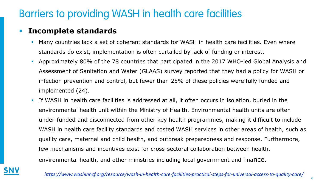#### **Incomplete standards**

- Many countries lack a set of coherent standards for WASH in health care facilities. Even where standards do exist, implementation is often curtailed by lack of funding or interest.
- Approximately 80% of the 78 countries that participated in the 2017 WHO-led Global Analysis and Assessment of Sanitation and Water (GLAAS) survey reported that they had a policy for WASH or infection prevention and control, but fewer than 25% of these policies were fully funded and implemented (24).
- If WASH in health care facilities is addressed at all, it often occurs in isolation, buried in the environmental health unit within the Ministry of Health. Environmental health units are often under-funded and disconnected from other key health programmes, making it difficult to include WASH in health care facility standards and costed WASH services in other areas of health, such as quality care, maternal and child health, and outbreak preparedness and response. Furthermore, few mechanisms and incentives exist for cross-sectoral collaboration between health, environmental health, and other ministries including local government and finance.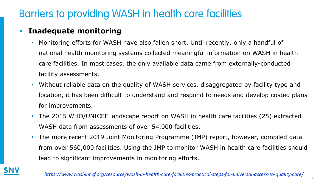#### **Inadequate monitoring**

- Monitoring efforts for WASH have also fallen short. Until recently, only a handful of national health monitoring systems collected meaningful information on WASH in health care facilities. In most cases, the only available data came from externally-conducted facility assessments.
- Without reliable data on the quality of WASH services, disaggregated by facility type and location, it has been difficult to understand and respond to needs and develop costed plans for improvements.
- The 2015 WHO/UNICEF landscape report on WASH in health care facilities (25) extracted WASH data from assessments of over 54,000 facilities.
- The more recent 2019 Joint Monitoring Programme (JMP) report, however, compiled data from over 560,000 facilities. Using the JMP to monitor WASH in health care facilities should lead to significant improvements in monitoring efforts.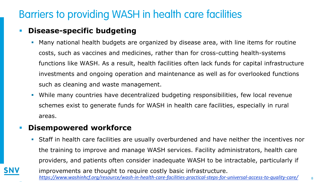#### **Disease-specific budgeting**

- Many national health budgets are organized by disease area, with line items for routine costs, such as vaccines and medicines, rather than for cross-cutting health-systems functions like WASH. As a result, health facilities often lack funds for capital infrastructure investments and ongoing operation and maintenance as well as for overlooked functions such as cleaning and waste management.
- While many countries have decentralized budgeting responsibilities, few local revenue schemes exist to generate funds for WASH in health care facilities, especially in rural areas.

#### **Disempowered workforce**

.

 Staff in health care facilities are usually overburdened and have neither the incentives nor the training to improve and manage WASH services. Facility administrators, health care providers, and patients often consider inadequate WASH to be intractable, particularly if improvements are thought to require costly basic infrastructure. *<https://www.washinhcf.org/resource/wash-in-health-care-facilities-practical-steps-for-universal-access-to-quality-care/>* <sup>8</sup>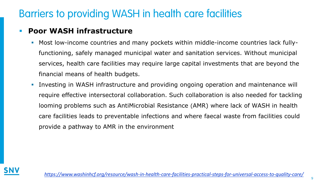#### **Poor WASH infrastructure**

- Most low-income countries and many pockets within middle-income countries lack fullyfunctioning, safely managed municipal water and sanitation services. Without municipal services, health care facilities may require large capital investments that are beyond the financial means of health budgets.
- Investing in WASH infrastructure and providing ongoing operation and maintenance will require effective intersectoral collaboration. Such collaboration is also needed for tackling looming problems such as AntiMicrobial Resistance (AMR) where lack of WASH in health care facilities leads to preventable infections and where faecal waste from facilities could provide a pathway to AMR in the environment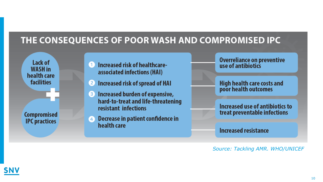#### THE CONSEQUENCES OF POOR WASH AND COMPROMISED IPC

Lack of WASH in health care **facilities Compromised IPC** practices

- Increased risk of healthcareassociated infections (HAI)
- Increased risk of spread of HAI  $\mathbf{2}$
- Increased burden of expensive, 3 hard-to-treat and life-threatening resistant infections
- Decrease in patient confidence in  $\bullet$ health care

Overreliance on preventive<br>use of antibiotics

High health care costs and<br>poor health outcomes

Increased use of antibiotics to treat preventable infections

**Increased resistance** 

*Source: Tackling AMR. WHO/UNICEF*

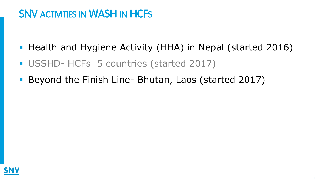## SNV ACTIVITIES IN WASH IN HCFS

- **-** Health and Hygiene Activity (HHA) in Nepal (started 2016)
- USSHD- HCFs 5 countries (started 2017)
- Beyond the Finish Line- Bhutan, Laos (started 2017)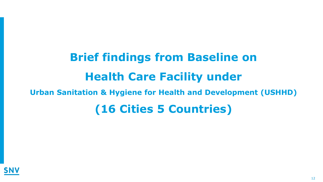## **Brief findings from Baseline on Health Care Facility under Urban Sanitation & Hygiene for Health and Development (USHHD) (16 Cities 5 Countries)**

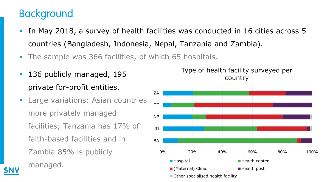## Background

- In May 2018, a survey of health facilities was conducted in 16 cities across 5 countries (Bangladesh, Indonesia, Nepal, Tanzania and Zambia).
- The sample was 366 facilities, of which 65 hospitals.
- **136 publicly managed, 195** private for-profit entities.
- **EXTED Variations: Asian countries** more privately managed facilities; Tanzania has 17% of faith-based facilities and in Zambia 85% is publicly

managed.



Type of health facility surveyed per country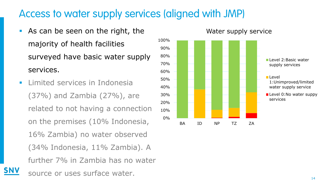#### Access to water supply services (aligned with JMP)

- **As can be seen on the right, the** majority of health facilities surveyed have basic water supply services.
- **Limited services in Indonesia** (37%) and Zambia (27%), are related to not having a connection on the premises (10% Indonesia, 16% Zambia) no water observed (34% Indonesia, 11% Zambia). A further 7% in Zambia has no water source or uses surface water.

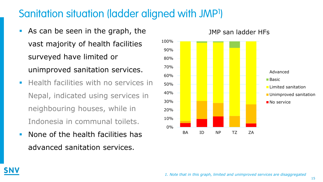#### Sanitation situation (ladder aligned with JMP<sup>1</sup>)

- As can be seen in the graph, the vast majority of health facilities surveyed have limited or unimproved sanitation services.
- **Health facilities with no services in** Nepal, indicated using services in neighbouring houses, while in Indonesia in communal toilets.
- **None of the health facilities has** advanced sanitation services.



15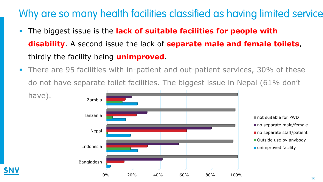### Why are so many health facilities classified as having limited service

- The biggest issue is the **lack of suitable facilities for people with disability**. A second issue the lack of **separate male and female toilets**, thirdly the facility being **unimproved**.
- There are 95 facilities with in-patient and out-patient services, 30% of these do not have separate toilet facilities. The biggest issue in Nepal (61% don't

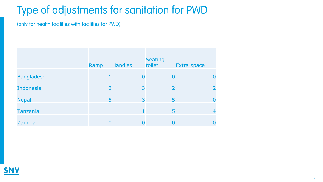## Type of adjustments for sanitation for PWD

(only for health facilities with facilities for PWD)

|                   | Ramp           | <b>Handles</b> | <b>Seating</b><br>toilet | Extra space |  |
|-------------------|----------------|----------------|--------------------------|-------------|--|
| <b>Bangladesh</b> | 1.             | $\overline{0}$ | $\overline{0}$           |             |  |
| <b>Indonesia</b>  | $\overline{2}$ | 3              | $\overline{2}$           |             |  |
| <b>Nepal</b>      | 5              | 3              | 5                        | O           |  |
| <b>Tanzania</b>   | $\mathbf{1}$   |                | 5                        |             |  |
| Zambia            | 0              |                | 0                        | O           |  |

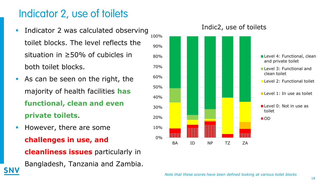### Indicator 2, use of toilets

- **Indicator 2 was calculated observing** toilet blocks. The level reflects the situation in ≥50% of cubicles in both toilet blocks.
- As can be seen on the right, the majority of health facilities **has functional, clean and even private toilets**.
- **However, there are some challenges in use, and cleanliness issues** particularly in Bangladesh, Tanzania and Zambia.



#### Indic2, use of toilets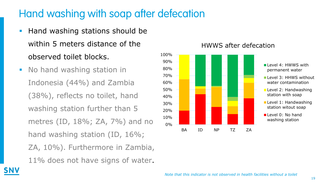### Hand washing with soap after defecation

- **Hand washing stations should be** within 5 meters distance of the observed toilet blocks.
- **No hand washing station in** Indonesia (44%) and Zambia (38%), reflects no toilet, hand washing station further than 5 metres (ID, 18%; ZA, 7%) and no hand washing station (ID, 16%; ZA, 10%). Furthermore in Zambia, 11% does not have signs of water.



#### HWWS after defecation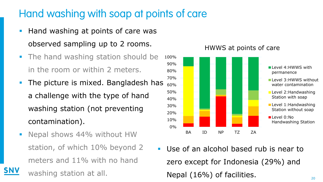### Hand washing with soap at points of care

- **Hand washing at points of care was** observed sampling up to 2 rooms.
- The hand washing station should be in the room or within 2 meters.
- **The picture is mixed. Bangladesh has** a challenge with the type of hand washing station (not preventing contamination).
- Nepal shows 44% without HW station, of which 10% beyond 2 meters and 11% with no hand washing station at all.



Use of an alcohol based rub is near to zero except for Indonesia (29%) and Nepal (16%) of facilities.

#### HWWS at points of care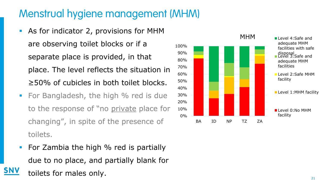## Menstrual hygiene management (MHM)

- As for indicator 2, provisions for MHM are observing toilet blocks or if a separate place is provided, in that place. The level reflects the situation in ≥50% of cubicles in both toilet blocks.
- For Bangladesh, the high % red is due to the response of "no private place for changing", in spite of the presence of toilets.
- **For Zambia the high % red is partially** due to no place, and partially blank for toilets for males only.

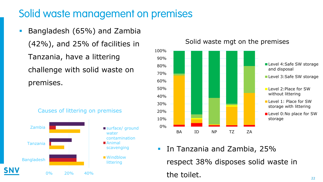#### Solid waste management on premises

**Bangladesh (65%) and Zambia** (42%), and 25% of facilities in Tanzania, have a littering challenge with solid waste on premises.







 In Tanzania and Zambia, 25% respect 38% disposes solid waste in the toilet.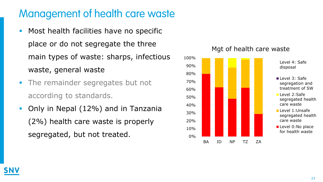## Management of health care waste

- **Most health facilities have no specific** place or do not segregate the three main types of waste: sharps, infectious waste, general waste
- **The remainder segregates but not** according to standards.
- Only in Nepal (12%) and in Tanzania (2%) health care waste is properly segregated, but not treated.



#### Mgt of health care waste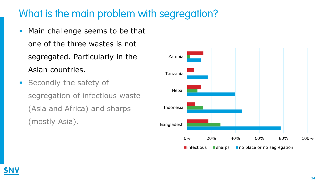## What is the main problem with segregation?

- Main challenge seems to be that one of the three wastes is not segregated. Particularly in the Asian countries.
- **Secondly the safety of** segregation of infectious waste (Asia and Africa) and sharps (mostly Asia).

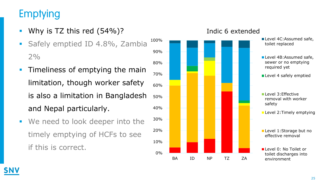## Emptying

- Why is TZ this red (54%)?
- Safely emptied ID 4.8%, Zambia  $2%$
- **Timeliness of emptying the main** limitation, though worker safety is also a limitation in Bangladesh and Nepal particularly.
- **We need to look deeper into the** timely emptying of HCFs to see if this is correct.

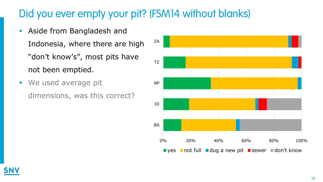## Did you ever empty your pit? (FSM14 without blanks)

- **Aside from Bangladesh and** Indonesia, where there are high "don't know's", most pits have not been emptied.
- **We used average pit** dimensions, was this correct?

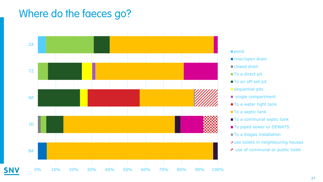#### Where do the faeces go?



#### **pond**

- river/open drain closed drain
- To a direct pit
- To an off-set pit
- sequential pits
- single compartment
- To a water tight tank
- To a septic tank
- To a communal septic tank
- To piped sewer or DEWATS
- To a biogas installation
- **Z** use toilets in neighbouring houses
- **n** use of communal or public toilet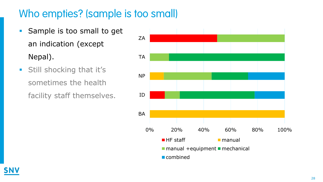### Who empties? (sample is too small)

- Sample is too small to get an indication (except Nepal).
- **Still shocking that it's** sometimes the health facility staff themselves.

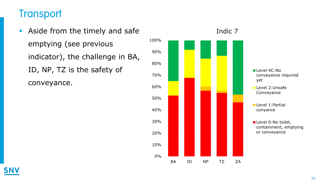#### **Transport**

**Aside from the timely and safe** emptying (see previous indicator), the challenge in BA, ID, NP, TZ is the safety of conveyance.



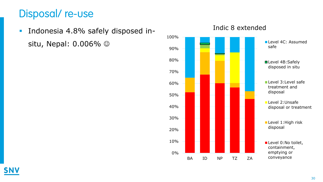### Disposal/ re-use

**Indonesia 4.8% safely disposed in**situ, Nepal: 0.006%  $\odot$